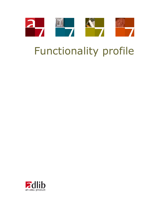

# Functionality profile

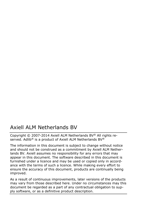# Axiell ALM Netherlands BV

Copyright © 2007-2014 Axiell ALM Netherlands BV® All rights reserved. Adlib<sup>®</sup> is a product of Axiell ALM Netherlands BV<sup>®</sup>

The information in this document is subject to change without notice and should not be construed as a commitment by Axiell ALM Netherlands BV. Axiell assumes no responsibility for any errors that may appear in this document. The software described in this document is furnished under a licence and may be used or copied only in accordance with the terms of such a licence. While making every effort to ensure the accuracy of this document, products are continually being improved.

As a result of continuous improvements, later versions of the products may vary from those described here. Under no circumstances may this document be regarded as a part of any contractual obligation to supply software, or as a definitive product description.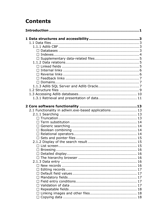# **Contents**

| 1.3.1 Retrieval and presentation of data 11           |  |
|-------------------------------------------------------|--|
|                                                       |  |
|                                                       |  |
| 2.1 Functionality in adlwin.exe-based applications 13 |  |
|                                                       |  |
|                                                       |  |
|                                                       |  |
|                                                       |  |
|                                                       |  |
|                                                       |  |
|                                                       |  |
|                                                       |  |
|                                                       |  |
|                                                       |  |
|                                                       |  |
|                                                       |  |
|                                                       |  |
|                                                       |  |
|                                                       |  |
|                                                       |  |
|                                                       |  |
|                                                       |  |
|                                                       |  |
|                                                       |  |
|                                                       |  |
|                                                       |  |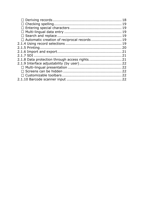| □ Automatic creation of reciprocal records  19 |  |
|------------------------------------------------|--|
|                                                |  |
|                                                |  |
|                                                |  |
|                                                |  |
|                                                |  |
|                                                |  |
|                                                |  |
|                                                |  |
|                                                |  |
|                                                |  |
|                                                |  |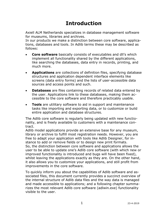# **Introduction**

<span id="page-4-0"></span>Axiell ALM Netherlands specializes in database management software for museums, libraries and archives.

In our products we make a distinction between core software, applications, databases and tools. In Adlib terms these may be described as follows:

- **Core software** basically consists of executables and dll's which implement all functionality shared by the different applications, like searching the databases, data entry in records, printing, and much more.
- **Applications** are collections of definition files, specifying database structures and application dependent interface elements like screens (data entry forms) and the lists of user-accessible data sources and access points and such.
- **Databases** are files containing records of related data entered by the user. Applications link to these databases, making them accessible to the core software and therefore practicably usable.
- **Tools** are utilitary software to aid in support and maintenance tasks like importing and exporting data, or to customize or build entire application and database structures.

The Adlib core software is regularly being updated with new functionality, and is freely available to customers with a maintenance contract.

Adlib model applications provide an extensive base for any museum, library or archive to fulfill most registration needs. However, you are free to adapt your application with tools like Adlib Designer, for instance to add or remove fields or to design new print formats. So, the distinction between core software and applications allows the user to be able to update one's Adlib core software (with which new or improved functionality is introduced and bugs will have been fixed), whilst leaving the applications exactly as they are. On the other hand, it also allows you to customize your applications, and still profit from improvements in the core software.

To quickly inform you about the capabilities of Adlib software and associated files, this document currently provides a succinct overview of the internal structure of Adlib data files and the way data is managed and made accessible to applications; and a following chapter summarizes the most relevant Adlib core software (adlwin.exe) functionality visible to the user.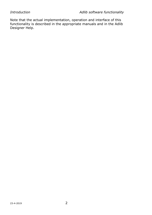Note that the actual implementation, operation and interface of this functionality is described in the appropriate manuals and in the Adlib Designer Help.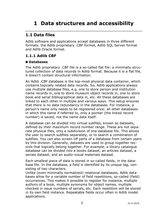# <span id="page-6-0"></span>**1 Data structures and accessibility**

# <span id="page-6-1"></span>**1.1 Data files**

Adlib software and applications accept databases in three different formats: the Adlib proprietary .CBF format, Adlib SQL Server format and Adlib Oracle format.

## <span id="page-6-2"></span>**1.1.1 Adlib CBF**

#### <span id="page-6-3"></span>◼ **Databases**

The Adlib proprietary .CBF file is a so-called flat file: a minimally structured collection of data records in Adlib format. Because it is a flat file, it doesn't contain structural information.

An Adlib .CBF database is the top-most physical data container, which contains topically related data records. So, Adlib applications always use multiple database files, e.g. one to store person and institution name records in, one to store museum object records in, one to store book and serial bibliographical data in, etc. All these databases are linked to each other in multiple and various ways. This setup ensures that there is no data redundancy in the databases. For instance, a person's name only needs to be registered once: all other databases in which this name if referred to, only a pointer (the linked record number) is saved, not the name data itself.

A database can be divided into virtual subfiles, known as datasets, defined by their maximum record number range. These are not separate physical files, only a subdivision of one database file. This allows the user to search subfiles separately, or to search a combination of subfiles. You can also screen off parts of a database from certain users by this division. Generally, datasets are used to group together records that logically belong together. For example, a library catalogue database can be divided into a books dataset, an articles dataset, a serials dataset, and an audio-visual materials dataset.

Each smallest piece of data is stored in so-called fields, in the database file. In the database, a field is identified by its unique tag, consisting of two characters.

Unlike (even minimally normalized) relational databases, Adlib databases allow for a variable number of field repetitions, so-called (field) occurrences. This makes it possible to register for instance, multiple authors of a book, multiple synonyms for object names, multiple checked in issue numbers of serials, etc. Each repetition will be stored in its own field instance. Repeatable fields occur often in Adlib model applications.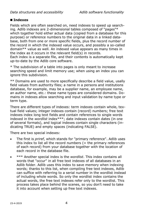#### <span id="page-7-0"></span>◼ **Indexes**

Fields which are often searched on, need indexes to speed up searching. Adlib indexes are 2-dimensional tables composed of "pages"\* which together hold either actual data (copied from a database for this purpose) or reference numbers to the original data in a linked database, both from one or more specific fields, plus the record number of the record in which the indexed value occurs, and possibly a so-called domain\*\* value as well. An indexed value appears as many times in the index as it occurs in the relevant field(s) in records. Each index is a separate file, and their contents is automatically kept up-to-date by the Adlib core software.

\* The subdivision of a table into pages is only meant to increase searching speed and limit memory use; when using an index you can ignore this subdivision.

\*\* Domains are used to more specifically describe a field value, usally field values from authority files; a name in a persons and institutions database, for example, may be a supplier name, an employee name, an author name, etc.: these name types are considered domains. Domains in indexes allow searching and input validation by name type or term type.

There are different types of indexes: term indexes contain whole, textual field values; integer indexes contain (record) numbers; free text indexes index long text fields and contain references to single words indexed in the *wordlist* index\*\*\*; date indexes contain dates (in one of several formats), and logical indexes contain single characters (indicating TRUE) and empty spaces (indicating FALSE).

There are two special indexes:

- The first is *priref*, which stands for "primary reference". Adlib uses this index to list all the record numbers  $($  = the primary references of each record) from your database together with the location of each record in the database file.
- \*\*\* Another special index is the *wordlist*. This index contains all words that "occur" in all free text indexes of all databases in an Adlib folder. Adlib uses this index to save memory when indexing words; thanks to this list, when compiling free text indexes, Adlib can suffice with referring to a serial number in the wordlist instead of including whole words. So only the wordlist index contains the actual words, the free text indexes refer only to the wordlist. This process takes place behind the scenes, so you don't need to take it into account when setting up free text indexes.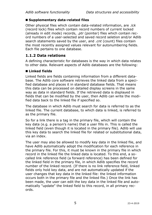### <span id="page-8-0"></span>◼ **Supplementary data-related files**

Other physical files which contain data-related information, are .*lck* (record lock) files which contain record numbers of current locked (already in edit mode) records, .*ptr* (pointer) files which contain record numbers of a user-selected and saved record seletion and/or Adlib search statements saved by the user, and .*cnt* (count) files contain the most recently assigned values relevant for autonumbering fields. Each file pertains to one database.

# <span id="page-8-1"></span>**1.1.2 Data relations**

A defining characteristic for databases is the way in which data relates to other data. Relevant aspects of Adlib databases are the following:

#### <span id="page-8-2"></span>◼ **Linked fields**

Linked fields are fields containing information from a different database. The Adlib core software retrieves the linked data from a specified database and places it in standard database fields. That means this data can be processed on detailed display screens in the same way as data in standard fields. If the retrieved data is displayed in fields that can be modified by the user, then Adlib can write the modified data back to the linked file if specified so.

The database in which Adlib must search for data is referred to as the linked file. The current database, to which data is linked, is referred to as the primary file.

So for a link there is a tag in the primary file, which will contain the key data (e.g. a person's name) that a user fills in. This is called the linked field (even though it is located in the primary file). Adlib will use this key data to search the linked file for related or substitutional data, via an index.

The user may also be allowed to modify key data in the linked file, and have Adlib automatically adopt the modification for each reference in the primary file. For this, it must be known in the primary file in which record in the linked file the linked data is located. To this end, a socalled link reference field (a forward reference) has been defined for the linked field in the primary file, in which Adlib specifies the record number of the linked record. (If there is no link reference field, linked fields only hold key data, and are not automatically updated if the user changes that key data in the linked file: the linked information occurs both in the primary file and the linked file.) Once the link has been made, the user can edit the key data in the linked file and automatically "update" the linked field to this record, in all primary records.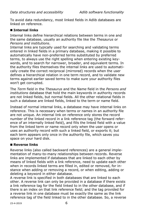To avoid data redundancy, most linked fields in Adlib databases are linked on reference.

#### <span id="page-9-0"></span>◼ **Internal links**

Internal links define hierarchical relations between terms in one and the same database, usually an authority file like the *Thesaurus* or *Persons and institutions*.

Internal links are typically used for searching and validating terms entered in linked fields in a primary database, making it possible to automatically have non-preferred terms substituted by preferred terms, to always use the right spelling when entering existing keywords, and to search for narrower, broader, and equivalent terms. In the authority files themselves the internal links are used to automatically create the correct reciprocal (mirrored) records when the user defines a hierarchical relation in one term record, and to validate new terms against earlier saved terms to make sure your authority files won't get corrupted.

The *Term* field in the *Thesaurus* and the *Name* field in the *Persons and institutions* database that hold the main keywords in authority records are not linked fields, but normal fields. All the other relational fields in such a database are linked fields, linked to the term or name field.

Instead of normal internal links, a database may have internal links on reference. This is necessary when terms or names in an authority file are not unique. An internal link on reference only stores the record number of the linked record in a link reference tag (the forward reference of an internally linked field), and fills the linked field with a value from the linked term or name record only when the user opens or uses an authority record with such a linked field, or exports it; but each term appears only once in the authority file, which saves you space on your hard disk.

#### <span id="page-9-1"></span>◼ **Reverse links**

Reverse links (also called backward references) are a general implementation of many-to-many relationships between records. Reverse links are implemented if databases that are linked to each other by means of linked fields with a link reference, need to update each other when in records linked terms are filled in, edited or removed, for instance when adding or removing a record, or when editing, adding or deleting a keyword in either database.

A reverse link is specified in both databases that are linked to each other. A reverse link can only be provided in a database if there exists a link reference tag for the field linked to in the other database, and if there is an index on that link reference field; and the tag provided for a reverse link in one database must be exactly the same as the link reference tag of the field linked to in the other database. So, a reverse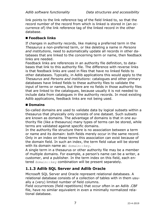link points to the link reference tag of the field linked to, so that the record number of the record from which is linked is stored in (an occurrence of) the link reference tag of the linked record in the other database.

## <span id="page-10-0"></span>◼ **Feedback links**

If changes in authority records, like making a preferred term in the *Thesaurus* a non-preferred term, or like deleting a name in *Persons and institutions*, need to automatically update all records in other databases that are linked to the concerning term or name, then feedback links are needed.

Feedback links are references in an authority file definition, to databases that link to this authority file. The difference with reverse links is that feedback links are used in files that have no linked fields to other databases. Typically, in Adlib applications this would apply to the *Thesaurus* and *Persons and institutions*: catalogues and other primary databases have linked fields to these authority files to validate the input of terms or names, but there are no fields in those authority files that are linked to the catalogues, because usually it is not needed to include data from catalogues in the authority records. In most existing Adlib applications, feedback links are not being used.

#### <span id="page-10-1"></span>◼ **Domains**

So-called domains are used to validate data by logical subsets within a thesaurus that physically only consists of one dataset. Such subsets are known as domains. The advantage of domains is that in one authority file (like a thesaurus) many types of terms can be stored, while terms are validated against specific domains.

In the authority file structure there is no association between a term or name and its domain: both fields merely occur in the same record. Only in an index on these terms this association can exist because of the domain field. In such an index, the term field value will be stored with its domain name as:  $domain::key$ .

A single term in a thesaurus or other authority file may be a member of multiple domains. For example, a person's name can be a writer, a customer, and a publisher. In the term index on this field, each entered domain:: key combination will be present separately.

# <span id="page-10-2"></span>**1.1.3 Adlib SQL Server and Adlib Oracle**

Microsoft SQL Server and Oracle represent relational databases. A relational database consists of a collection of tables with in them usually a (very) limited number of field columns.

Field occurrences (field repetitions) that occur often in an Adlib .CBF file, have no similar equivalent in even a minimally normalized relational database.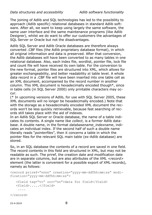The joining of Adlib and SQL technologies has led to the possibility to approach (Adlib specific) relational databases in standard Adlib software. After all, we want to keep using largely the same software, the same user interface and the same maintenance programs (like Adlib Designer), whilst we do want to offer our customers the advantages of SQL Server or Oracle but not the disadvantages.

Adlib SQL Server and Adlib Oracle databases are therefore always converted .CBF files (the Adlib proprietary database format), in which all original information and data is preserved. After that conversion, the Adlib databases will have been converted to as many tables in one relational database. Also, each index file, wordlist, pointer file, lock file and count file will have received its own table. For the conversion to the new format, pointer files are structured into XML, which allows for greater exchangeability, and better readability at table level. A whole data record in a .CBF file will have been inserted into one table cell as an XML document, accompanied by the record number in another column. This XML document is hexadecimally encoded though\*, since in table cells (in SQL Server 2000) only printable characters may occur.

(\* In upcoming versions of Adlib, for use with SQL Server 2005, these XML documents will no longer be hexadecimally encoded.) Note that with the storage as a hexadecimally encoded XML document the records won't be less quickly retrievable, because fast searching of records still takes place with the aid of indexes.

In an Adlib SQL Server or Oracle database, the name of a table indicates its contents. A single name like *collect*, is a former Adlib database. A double name, in the format *databasename\_indexname*, indicates an individual index. If the second half of such a double name literally reads "*pointerfiles*", then it concerns a table in which the pointer files for the relevant SQL main table (ex-Adlib database) are stored.

So, in an SQL database the contents of a record are saved in one field. The record contents in this field are structured in XML, but may not be readable as such. The priref, the creation date and modification date are in separate columns, but are also attributes of the XML *<record>* element (the latter is convenient for a possible export of XML records), namely as follows:

```
<record priref="nnnn" creation="yyyy-mm-ddThh:mm:ss" modi-
fication="yyyy-mm-ddThh:mm:ss">
```

```
 <field tag="tt" occ="nn">data for field</field>
    <field>.....</field>
     ....
</record>
```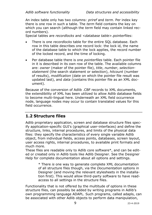An index table only has two columns: *priref* and *term*. Per index key there is one row in such a table. The *term* field contains the key on which you can search (although the *term* field may contain linked record numbers).

Special tables are *recordlocks* and *<database table>*.pointerfiles:

- There is one *recordlocks* table for the entire SQL database. Each row in this table describes one record lock: the lock id, the name of the database table to which the lock applies, the record number of the locked record, and the time of locking.
- Per database table there is one *pointerfiles* table. Each pointer file in it is described in its own row of the table. The available columns are: *owner* (maker of the pointer file), *title*, *number*, *selectionstatement* (the search statement or selection), *hitcount* (number of results), *modification* (date on which the pointer file result was updated last), and *data* (contains this pointer file as an XML document).

Because of the conversion of Adlib .CBF records to XML documents, the extendibility of XML has been utilized to allow Adlib database fields to become multi-lingual here. Underneath an XML field occurrence node, language nodes may occur to contain translated values for this field occurrence.

# <span id="page-12-0"></span>**1.2 Structure files**

Adlib proprietary application, screen and database structure files specify application-specific GUI's (graphical user-interfaces) and define the structure, links, internal procedures, and limits of the physical data files: they specify the characteristics of every single variable Adlib object, from individual fields, access points, databases, screen layout, user access rights, internal procedures, to available print formats and much more.

These files are readable only to Adlib core software\*, and can be edited or created only in Adlib tools like Adlib Designer. See the Designer Help for complete documentation about all options and settings.

> \* There *is* one way to generate complete XML documentation of all structure files though, via the *Documentation* options in Designer (and moving the relevant stylesheets in the installation first). This would allow third-party software to have readaccess to all settings in the structure files.

Functionality that is not offered by the multitude of options in these structure files, can possibly be added by writing programs in Adlib's own programming language ADAPL. Such programs, called adapls, can be associated with other Adlib objects to perform data manipulation,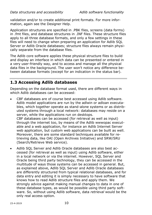validation and/or to create additional print formats. For more information, again see the Designer Help.

Application structures are specified in .PBK files, screens (data forms) in .fmt files, and database structures in .INF files. These structure files apply to all three database formats, and only a few settings in these files will need to change when preparing an application for Adlib SQL Server or Adlib Oracle databases; structure files always remain physically separate from the database files.

The Adlib core software applies these physical structure files to build and display an interface in which data can be presented or entered in a very user-friendly way, and to access and manage all the physical data files in the background. The user won't notice any difference between database formats (except for an indication in the status bar).

# <span id="page-13-0"></span>**1.3 Accessing Adlib databases**

Depending on the database format used, there are different ways in which Adlib databases can be accessed:

- CBF databases are of course best accessed using Adlib software. Adlib model applications are run by the adlwin or adloan executables, which together operate as stand-alone systems or as distributed systems through a local network: databases may reside on a server, while the applications run on desktops. CBF databases can be accessed (for retrieval as well as input) through the internet too, by means of the Adlib wwwopac executable and a web application, for instance an Adlib Internet Server web application, but custom web applications can be built as well. Moreover, there are some standard techniques available for retrieving data, like OAI (Open Archives Initiative) and SRW/SRU (Search/Retrieve Web service).
- Adlib SQL Server and Adlib Oracle databases are also best accessed (for retrieval as well as input) using Adlib software, either in a local network or via the internet. However, SQL Server and Oracle being third party technology, they can be accessed in the multitude of ways those systems can be accessed in general. But, as explained above, Adlib SQL Server and Adlib Oracle databases are differently structured from typical relational databases, and for data entry and editing it is simply necessary to have software that knows how to read Adlib structure files and apply them. We strongly advice against making manual changes to data in one of these database types, as would be possible using third party software. So, without using Adlib software, data *retrieval* would be the only real access option.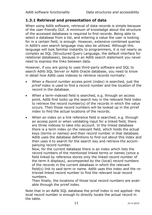# <span id="page-14-0"></span>**1.3.1 Retrieval and presentation of data**

When using Adlib software, retrieval of data records is simple because of the user-friendly GUI. A minimum of knowledge about the structure of the accessed databases is required to find records. Being able to select a database from a list, and entering a value the user is looking for in a certain field, is enough. However, extensive combined queries in Adlib's own search language may also be utilized. Although this language will look familiar instantly to programmers, it is not nearly as complex as SQL (Structured Query Language, the default interface for relational databases), because in an Adlib search statement you never need to express the links between data.

However, if you are going to uses third-party software and SQL to search Adlib SQL Server or Adlib Oracle database, you need to know in detail how Adlib uses indexes to retrieve records normally:

- When a *Record number* access point (index) is searched, just the *priref* index is used to find a record number and the location of the record in the database.
- When a term-indexed field is searched, e.g. through an access point, Adlib first looks up the search key in the relevant field index to retrieve the record number(s) of the records in which the value occurs. Then those record numbers will be looked up in the priref index to find the actual locations of the records.
- When an index on a link reference field is searched, e.g. through an access point or when validating input for a linked field, there are three indexes to take into account. In the linked database there is a term index on the relevant field, which holds the actual keys (terms or names) and their record number in that database. Adlib uses the database definitions to find out about this index and then uses it to search for the search key and retrieve the accompanying record number.

Now, for the current database there is an index which lists the record numbers of the mentioned linked terms or names (since a field linked by reference stores only the linked record number of the term it displays), accompanied by the (local) record numbers of the records in the current database in which the relevant field(s) link to said term or name. Adlib uses this index and the retrieved linked record number to find the relevant local record numbers.

Then finally, the locations of those local record numbers are available through the priref index.

Note that in an Adlib SQL database the priref index is not applied: the local record number is enough to directly locate the actual record in the table.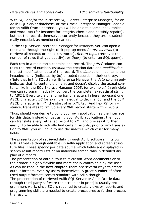With SQL and/or the Microsoft SQL Server Enterprise Manager, for an Adlib SQL Server database, or the Oracle Enterprise Manager Console for an Adlib Oracle database, you will be able to search index tables and word lists (for instance for integrity checks and possibly repairs), but not the records themselves currently because they are hexadecimally encoded, as mentioned earlier.

In the SQL Server Enterprise Manager for instance, you can open a table and through the right-click pop-up menu *Return all rows* (to retrieve all records or index key words), *Return top…* (retrieves the number of rows that you specify), or *Query* (to enter an SQL query).

Each row in a main table contains one record. The *priref* column contains the record number, *creation* the creation date and *modification* the last modification date of the record. The *data* column contains the hexadecimally (indicated by 0x) encoded records in their entirety. (Note that in the SQL Server Enterprise Manager the *data* column only indicates that its content is binary, and doesn't display the actual contents like in the SQL Express Manager 2005, for example.) In principle you can (programmatically) convert the complete hexadecimal string to ASCII. Every two alphanumerical characters in here represent one ASCII character. *3C* for example, is equal to decimal 60, and the 60th ASCII character is "<", the start of an XML tag. And hex *72* for instance, translates to "r". So every XML record starts with *<record*…

Thus, should you desire to build your own application as the interface for this data, instead of just using your Adlib applications, then you can translate every retrieved record to XML and process it further easily. To be able to actually find certain records, prior to any translation to XML, you will have to use the indexes which exist for many fields.

The presentation of retrieved data through Adlib software in its own GUI is fixed (although editable) in Adlib application and screen structure files. These specify per data source which fields are displayed in search result record lists or on individual screen tabs in detailed display of a record.

The presentation of data output to Microsoft Word documents or to the printer is highly flexible and more easily controlable by the user. As can be read in the next chapter, there are several ways to create output formats, even by users themselves. A great number of often used output formats comes standard with Adlib though.

The presentation of retrieved Adlib SQL Server or Adlib Oracle data through third-party software (on screen or in print) is usually programmers work, since SQL is required to create views or reports and programming skills are needed to create procedures to further process the result.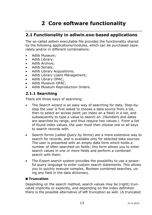# <span id="page-16-0"></span>**2 Core software functionality**

# <span id="page-16-1"></span>**2.1 Functionality in adlwin.exe-based applications**

The so-called *adlwin* executable file provides the functionality shared by the following applications/modules, which can be purchased separately and/or in different combinations:

- Adlib Museum;
- Adlib Library;
- Adlib Archive;
- Adlib Serials;
- Adlib Library Acquisitions;
- Adlib Library Loans Management;
- Adlib Library OPAC;
- Adlib Museum OPAC;
- Adlib Museum Reproduction Orders.

# <span id="page-16-2"></span>**2.1.1 Searching**

There are three ways of searching:

- The *Search wizard* is an easy way of searching for data. Step-bystep the user is first asked to choose a data source from a list, then to select an access point (an index on a field) in a list, and subsequently to type a value to search on. (Numbers and dates are searched by range, and thus require two values.) From a list of found index values, the user must then choose one or all keys to search records with.
- Search forms (called *Query by forms*) are a more extensive way to search for records, and is available only for selected data sources. The user is presented with an empty data form which holds a number of often searched-on fields: this form allows you to enter search values in one or more fields and perform a combined search with them.
- The *Expert search system* provides the possibility to use a powerful query language to enter custom search statements. This allows you to quickly execute complex, Boolean combined searches, using any field in the data dictionary.

#### <span id="page-16-3"></span>■ **Truncation**

Depending on the search method, search values may be (right) truncated implicitly or explicitly, and depending on the index definition there is the possible alternative of left truncation as well. (A truncated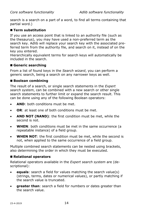search is a search on a part of a word, to find all terms containing that partial word.)

#### <span id="page-17-0"></span>◼ **Term substitution**

If you use an access point that is linked to an authority file (such as the thesaurus), you may have used a non-preferred term as the search key. Adlib will replace your search key with the associated preferred term from the authority file, and search on it, instead of on the key you entered.

Hierarchically equivalent terms for search keys will automatically be included in the search.

#### <span id="page-17-1"></span>■ Generic searching

From a list of found keys in the *Search wizard*, you can perform a generic search, being a search on any narrower keys as well.

#### <span id="page-17-2"></span>■ **Boolean combining**

The result of a search, or single search statements in the *Expert search system*, can be combined with a new search or other single search statements to further limit or expand the search result. This can be done using any of the following Boolean operators:

- **AND**: both conditions must be met.
- **OR**: at least one of both conditions must be met.
- **AND NOT (NAND)**: the first condition must be met, while the second is not.
- **WHEN**: both conditions must be met in the same occurrence (a repeatable instance) of a field group.
- **WHEN NOT**: the first condition must be met, while the second is not, when applied to the same occurrence of a field group.

Multiple combined search statements can be nested using brackets, also determining the order in which they must be executed.

#### <span id="page-17-3"></span>■ **Relational operators**

Relational operators available in the *Expert search system* are (descriptional):

- **equals**: search a field for values matching the search value(s) (strings, terms, dates or numerical values), or partly matching if the search value is truncated.
- **greater than**: search a field for numbers or dates greater than the search value.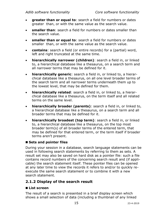- **greater than or equal to**: search a field for numbers or dates greater than, or with the same value as the search value.
- **smaller than**: search a field for numbers or dates smaller than the search value.
- smaller than or equal to: search a field for numbers or dates smaller than, or with the same value as the search value.
- **contains**: search a field (or entire records) for a (partial) word, left and right truncated at the same time.
- **hierarchically narrower (children)**: search a field in, or linked to, a hierarchical database like a thesaurus, on a search term and all narrower terms that may be defined for it.
- **hierarchically generic**: search a field in, or linked to, a hierarchical database like a thesaurus, on all one level broader terms of the search term and all narrower terms underneath them up to the lowest level, that may be defined for them.
- **hierarchically related**: search a field in, or linked to, a hierarchical database like a thesaurus, on the term itself and all related terms on the same level.
- **hierarchically broader (parents)**: search a field in, or linked to, a hierarchical database like a thesaurus, on a search term and all broader terms that may be defined for it.
- **hierarchically broadest (top term)**: search a field in, or linked to, a hierarchical database like a thesaurus, on the top most broader term(s) of all broader terms of the entered term, that may be defined for that entered term, or the term itself if broader terms aren't present.

#### <span id="page-18-0"></span>■ Sets and pointer files

During your session in a database, search language statements can be used in following search statements by referring to them as sets. A result set may also be saved on hard disk as a pointer file: such a file contains record numbers of the concerning search result and (if applicable) the search statement itself. These pointer files can be opened at any later time to view the records it refers to and/or to quickly reexecute the same search statement or to combine it with a new search statement.

## <span id="page-18-1"></span>**2.1.2 Display of the search result**

#### <span id="page-18-2"></span>■ List screen

The result of a search is presented in a brief display screen which shows a small selection of data (including a thumbnail of any linked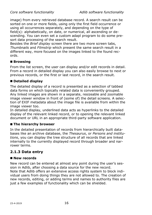image) from every retrieved database record. A search result can be sorted on one or more fields, using only the first field occurrence or using all occurrences separately, and depending on the type of field(s): alphabetically, on date, or numerical, all ascending or descending. You can even set a custom adapl program to do some presort data processing of the search result.

Besides the *Brief display* screen there are two more screen tabs, *Thumbnails* and *Filmstrip* which present the same search result in a different way, more focused on the images linked to the found records.

#### <span id="page-19-0"></span>■ **Browsing**

From the list screen, the user can display and/or edit records in detail. From a record in detailed display you can also easily browse to next or previous records, or the first or last record, in the search result.

#### <span id="page-19-1"></span>■ Detailed display

The detailed display of a record is presented as a selection of tabbed data forms on which topically related data is conveniently grouped. Any linked images are shown in a separate, resizeable and zoomable image viewer window in front of (some of) the detail screens. A selection of EXIF metadata about the image file is available from within the image viewer too.

In detailed display, underlined data acts as hyperlinks to the detailed display of the relevant linked record, or to opening the relevant linked document or URL in an appropriate third-party software application.

#### <span id="page-19-2"></span>■ The hierarchy browser

In the detailed presentation of records from hierarchically built databases like an archive database, the *Thesaurus*, or *Persons and institutions*, you can display the tree structure of all records that are linked internally to the currently displayed record through broader and narrower terms.

# <span id="page-19-3"></span>**2.1.3 Data entry**

#### <span id="page-19-4"></span>■ **New records**

New record can be entered at almost any point during the user's session in Adlib, after choosing a data source for the new record. Note that Adlib offers an extensive access rights system to block individual users from doing things they are not allowed to. The creation of new records, editing, or adding terms and names to authority files are just a few examples of functionality which can be shielded.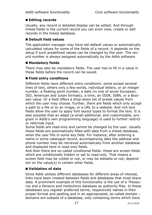#### <span id="page-20-0"></span>■ **Editing records**

Usually, any record in detailed display can be edited. And through linked fields in the current record you can even view, create or edit records in the linked database.

#### <span id="page-20-1"></span>■ Default field values

The application manager may have set default values or automatically calculated values for some of the fields of a record; it depends on the setup if such predefined values can be changed by the user. The record number is always assigned automatically by the Adlib software.

#### <span id="page-20-2"></span>■ Mandatory fields

There may also be mandatory fields. The user has to fill in a value in these fields before the record can be saved.

#### <span id="page-20-3"></span>■ Field entry conditions

Different fields have different entry conditions: some accept several lines of text, others only a few words, individual letters, or an integer number, a floating point number, a date (in one of seven European, ISO, American and Julian formats), a time, an ISSN, ISBN, or a Boolean value. Or a field offers a drop-down list of preset values from which the user may choose. Further, there are fields which only accept a path to a file or to an image, or a URL to a website. And rich text fields allow the user to apply font layout types to format the text. It is also possible that an adapl (a small additional, and customizable, program in Adlib's own programming language) is used to further restrict or reformat input.

Some fields are read-only and cannot be changed by the user. Usually these fields are automatically filled with data from a linked database, when the user fills in some key field. For instance, after entering a name in some catalogue record, accompanying data like address and phone number may be retrieved automatically from another database and displayed here in read-only fields.

And then there are so-called conditional fields: these are screen fields which are conditionally hidden or set to read-only. That means a screen field may be visible or not, or may be editable or not, dependent on the value(s) in certain other fields.

#### <span id="page-20-4"></span>■ Validation of data

Since Adlib utilizes different databases for different areas of interest, links have been created between fields and databases that must share data. A prominent example of this functionality is the use of a *Thesaurus* and a *Persons and institutions* database as authority files. In these databases you register preferred terms, respectively names in their proper format and spelling and in an appropriated, so-called domain – domains are subsets of a database, only containing terms which have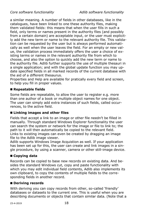a similar meaning. A number of fields in other databases, like in the catalogues, have been linked to one these authority files, making them validated fields: this means that when the user fills in such a field, only terms or names present in the authority files (and possibly from a certain domain) are acceptable input, or the user must explicitly add the new term or name to the relevant authority file. This validation can be requested by the user but is always performed automatically as well when the user leaves the field. For an empty or new value, the validation process immediately offers the user a choice of existing terms or names in the relevant authority file from which to choose, and also the option to quickly add the new term or name to the authority file. Adlib further supports the use of multiple thesauri in a single application; and with the global update function you may update specified fields in all marked records of the current database with the aid of a different thesaurus.

Properties and Help are available for pratically every field and screen, to help you fill in proper values.

#### <span id="page-21-0"></span>■ Repeatable fields

Some fields are repeatable, to allow the user to register e.g. more than one author of a book or multiple object names for one object. The user can simply add extra instances of such fields, called occurrences, to the active field.

#### <span id="page-21-1"></span>■ Linking images and other files

Fields that accept a link to an image or other file needn't be filled in manually. Through standard Windows Explorer functionality the user can search the system or network for the image or file to link to; the path to it will then automatically be copied to the relevant field. Links to existing images can even be created by dragging an image file to the Adlib image viewer.

Adlib supports Windows Image Acquistion as well. If your application has been set up for this, the user can create and link images in a single procedure, by using a scanner, camera or other still-image device.

#### <span id="page-21-2"></span>◼ **Copying data**

Records can be copied to base new records on existing data. And besides the standard Windows cut, copy and paste functionality with which you may edit individual field contents, Adlib also implements its own clipboard, to copy the contents of multiple fields to the corresponding fields in another record.

#### <span id="page-21-3"></span>■ **Deriving records**

With deriving you can copy records from other, so-called 'friendly' databases or datasets to the current one. This is useful when you are describing documents or objects that contain similar data. (Note that a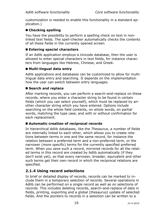customization is needed to enable this functionality in a standard application.)

## <span id="page-22-0"></span>■ Checking spelling

You have the possibility to perform a spelling check on text in nonlinked text fields. The spell-checker automatically checks the contents of all these fields in the currently opened screen.

#### <span id="page-22-1"></span>■ Entering special characters

If an Adlib application employs a Unicode database, then the user is allowed to enter special characters in text fields, for instance characters from languages like Hebrew, Chinese, and Greek.

#### <span id="page-22-2"></span>◼ **Multi-lingual data entry**

Adlib applications and databases can be customized to allow for multilingual data entry and searching. It depends on the implementation how the user can switch between entry languages.

#### <span id="page-22-3"></span>■ Search and replace

After marking records, you can perform a search-and-replace on these records, where you enter a character string to be found in certain fields (which you can select yourself), which must be replaced by another character string which you have entered. Options include searching on the whole field contents, on whole words, on partial words, matching the type case, and with or without confirmation for each replacement.

#### <span id="page-22-4"></span>■ Automatic creation of reciprocal records

In hierarchical Adlib databases, like the *Thesaurus*, a number of fields are internally linked to each other, which allows you to create relations between terms in one and the same record, for instance the relation between a preferred term and a non-preferred term, or the narrower (more specific) terms for the currently specified preferred term. When you save such a record, mirrored records for all the related terms in this record are created by Adlib automatically (if they don't exist yet), so that every narrower, broader, equivalent and other such terms get their own record in which the reciprocal relations are specified.

#### <span id="page-22-5"></span>**2.1.4 Using record selections**

In brief or detailed display of records, records can be marked to include them in a temporary selection of records. Several operations in Adlib can be performed on a single record as well as on selections of records. This includes deleting records, search-and-replace of data in fields, printing, exporting and a global (thesaurus) update of selected fields. And the pointers to records in a selection can be written to a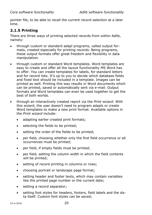pointer file, to be able to recall the current record selection at a later time.

# <span id="page-23-0"></span>**2.1.5 Printing**

There are three ways of printing selected records from within Adlib, namely:

- through custom or standard adapl programs, called output formats, created especially for printing records. Being programs, these output formats offer great freedom and flexibility in data manipulation.
- through custom or standard Word templates. Word templates are easy to create and offer all the layout functionality MS Word has to offer. You can create templates for labels, for standard letters and for record lists. It's up to you to decide which database fields and fixed text should be included in a template. Images can be printed as well. Printing this way results in Word documents which can be printed, saved or automatically sent via e-mail. Output formats and Word templates can even be used together to get the best of both worlds.
- through an interactively created report via the *Print wizard*. With this wizard, the user doesn't need to program adapls or create Word templates to make a new print format. Available options in the *Print wizard* include:
	- adapting earlier created print formats;
	- selecting the fields to be printed;
	- setting the order of the fields to be printed;
	- per field, choosing whether only the first field occurrence or all occurrences must be printed;
	- per field, if empty fields must be printed;
	- per field, setting the column width in which the field contents will be printed;
	- setting of record printing in columns or rows;
	- choosing portrait or landscape page format;
	- setting header and footer texts, which may contain variables like the printed page number or the current date;
	- setting a record separator;
	- setting font styles for headers, footers, field labels and the data itself. Custom font styles can be saved;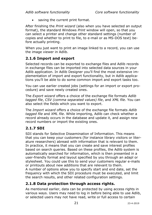saving the current print format.

After finishing the *Print wizard* (also when you have selected an output format), the standard Windows *Print* window will open, so that you can select a printer and change other standard settings (number of copies and whether to print to file, to e-mail or as MS-DOS text) before actually printing.

When you just want to print an image linked to a record, you can use the image viewer in Adlib.

# <span id="page-24-0"></span>**2.1.6 Import and export**

Selected records can be exported to exchange files and Adlib records in exchange files can be imported into selected data sources in your Adlib application. In Adlib Designer you'll find the most extensive implementation of import and export functionality, but in Adlib applications you'll be able to do some common import and export tasks too.

You can use earlier created jobs (settings for an import or export procedure) and save newly created ones.

The *Export wizard* offers a choice of the exchange file formats *Adlib tagged file*, *CSV (comma separated values) file*, and *XML file*. You can also select the fields which you want to export.

The *Import wizard* offers a choice of the exchange file formats *Adlib tagged file* and *XML file*. While importing, Adlib can check whether a record already occurs in the database and update it, and assign new record numbers or import the existing ones.

# <span id="page-24-1"></span>**2.1.7 SDI**

SDI stands for Selective Dissemination of Information. This means that you can keep your customers (for instance library visitors or literature researchers) abreast with information that is relevant to them. In practice, it means that you can create and save interest profiles based on search queries. Based on these profiles, the Adlib system is automatically searched for information, which is then presented in a user-friendly format and layout specified by you through an adapl or stylesheet. You could use this to send your customers regular e-mails or printouts about new additions that are relevant to them. A number of options allow you to specify start and end date, set the

frequency with which the SDI procedure must be executed, and limit the search results, and other related configuration settings.

# <span id="page-24-2"></span>**2.1.8 Data protection through access rights.**

As mentioned earlier, data can be protected by using access rights in various ways. Users may need to log in before being able to use Adlib, or selected users may not have read, write or full access to certain